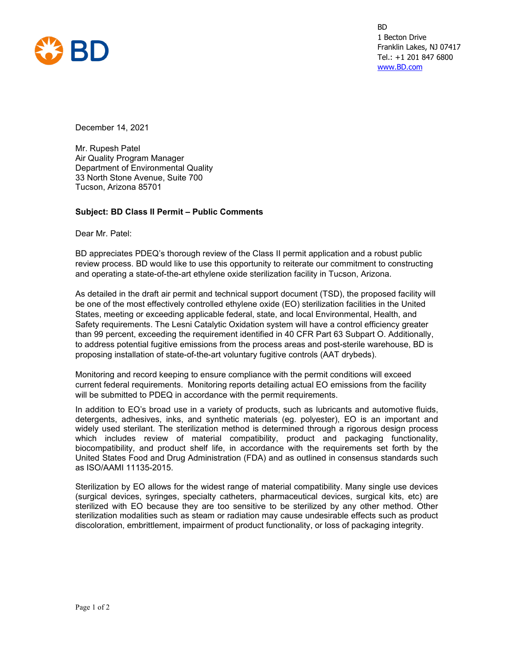

BD 1 Becton Drive Franklin Lakes, NJ 07417 Tel.: +1 201 847 6800 [www.BD.com](http://www.bd.com/)

December 14, 2021

Mr. Rupesh Patel Air Quality Program Manager Department of Environmental Quality 33 North Stone Avenue, Suite 700 Tucson, Arizona 85701

## **Subject: BD Class II Permit – Public Comments**

Dear Mr. Patel:

BD appreciates PDEQ's thorough review of the Class II permit application and a robust public review process. BD would like to use this opportunity to reiterate our commitment to constructing and operating a state-of-the-art ethylene oxide sterilization facility in Tucson, Arizona.

As detailed in the draft air permit and technical support document (TSD), the proposed facility will be one of the most effectively controlled ethylene oxide (EO) sterilization facilities in the United States, meeting or exceeding applicable federal, state, and local Environmental, Health, and Safety requirements. The Lesni Catalytic Oxidation system will have a control efficiency greater than 99 percent, exceeding the requirement identified in 40 CFR Part 63 Subpart O. Additionally, to address potential fugitive emissions from the process areas and post-sterile warehouse, BD is proposing installation of state-of-the-art voluntary fugitive controls (AAT drybeds).

Monitoring and record keeping to ensure compliance with the permit conditions will exceed current federal requirements. Monitoring reports detailing actual EO emissions from the facility will be submitted to PDEQ in accordance with the permit requirements.

In addition to EO's broad use in a variety of products, such as lubricants and automotive fluids, detergents, adhesives, inks, and synthetic materials (eg. polyester), EO is an important and widely used sterilant. The sterilization method is determined through a rigorous design process which includes review of material compatibility, product and packaging functionality, biocompatibility, and product shelf life, in accordance with the requirements set forth by the United States Food and Drug Administration (FDA) and as outlined in consensus standards such as ISO/AAMI 11135-2015.

Sterilization by EO allows for the widest range of material compatibility. Many single use devices (surgical devices, syringes, specialty catheters, pharmaceutical devices, surgical kits, etc) are sterilized with EO because they are too sensitive to be sterilized by any other method. Other sterilization modalities such as steam or radiation may cause undesirable effects such as product discoloration, embrittlement, impairment of product functionality, or loss of packaging integrity.